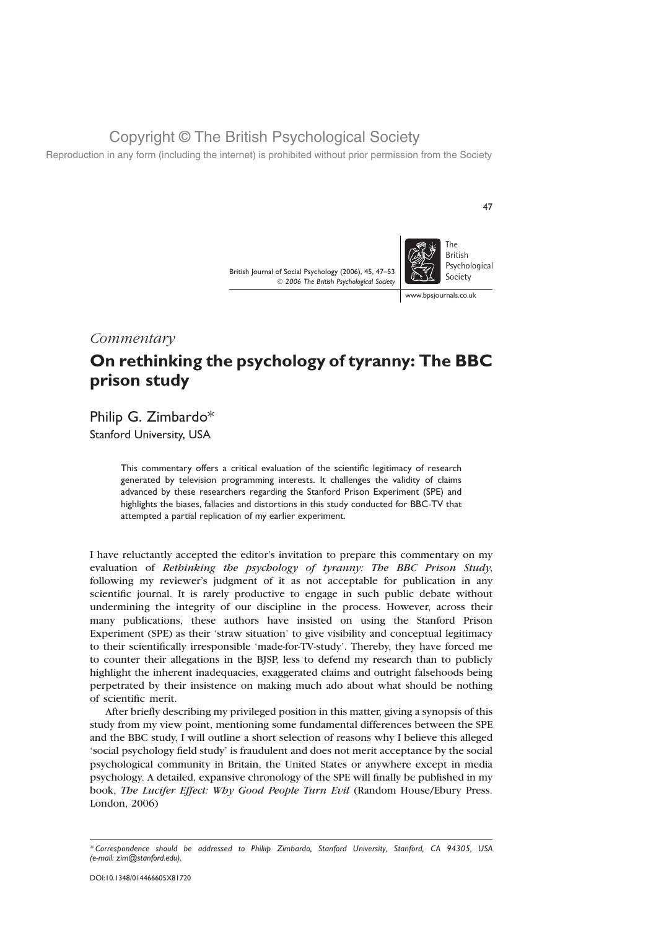Reproduction in any form (including the internet) is prohibited without prior permission from the Society

British Journal of Social Psychology (2006), 45, 47–53  $©$  2006 The British Psychological Society



47

www.bpsjournals.co.uk

### Commentary

# On rethinking the psychology of tyranny: The BBC prison study

Philip G. Zimbardo\* Stanford University, USA

> This commentary offers a critical evaluation of the scientific legitimacy of research generated by television programming interests. It challenges the validity of claims advanced by these researchers regarding the Stanford Prison Experiment (SPE) and highlights the biases, fallacies and distortions in this study conducted for BBC-TV that attempted a partial replication of my earlier experiment.

I have reluctantly accepted the editor's invitation to prepare this commentary on my evaluation of Rethinking the psychology of tyranny: The BBC Prison Study, following my reviewer's judgment of it as not acceptable for publication in any scientific journal. It is rarely productive to engage in such public debate without undermining the integrity of our discipline in the process. However, across their many publications, these authors have insisted on using the Stanford Prison Experiment (SPE) as their 'straw situation' to give visibility and conceptual legitimacy to their scientifically irresponsible 'made-for-TV-study'. Thereby, they have forced me to counter their allegations in the BJSP, less to defend my research than to publicly highlight the inherent inadequacies, exaggerated claims and outright falsehoods being perpetrated by their insistence on making much ado about what should be nothing of scientific merit.

After briefly describing my privileged position in this matter, giving a synopsis of this study from my view point, mentioning some fundamental differences between the SPE and the BBC study, I will outline a short selection of reasons why I believe this alleged 'social psychology field study' is fraudulent and does not merit acceptance by the social psychological community in Britain, the United States or anywhere except in media psychology. A detailed, expansive chronology of the SPE will finally be published in my book, The Lucifer Effect: Why Good People Turn Evil (Random House/Ebury Press. London, 2006)

<sup>\*</sup> Correspondence should be addressed to Philiip Zimbardo, Stanford University, Stanford, CA 94305, USA (e-mail: zim@stanford.edu).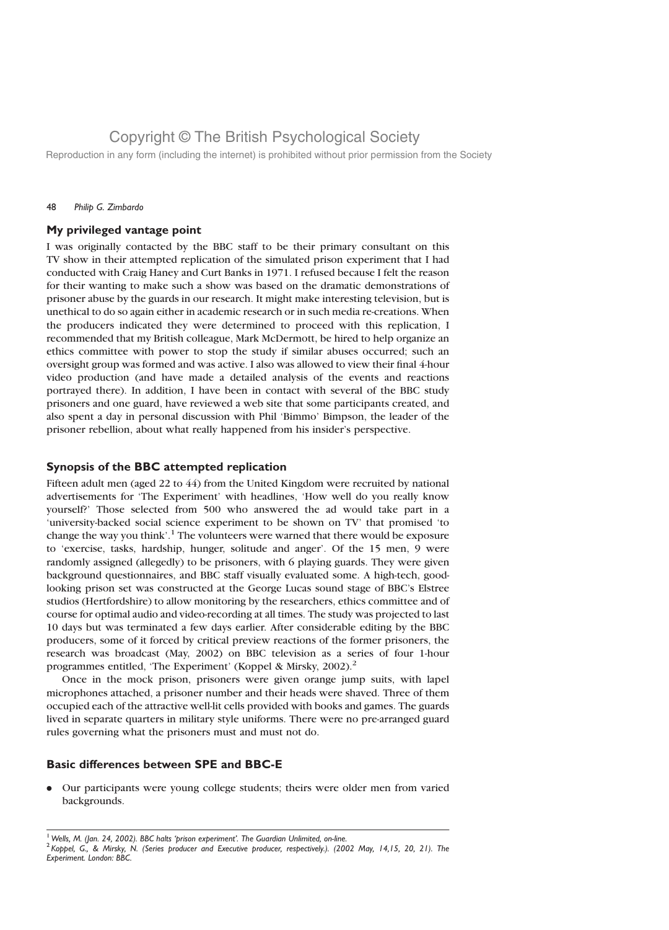Reproduction in any form (including the internet) is prohibited without prior permission from the Society

#### 48 Philip G. Zimbardo

### My privileged vantage point

I was originally contacted by the BBC staff to be their primary consultant on this TV show in their attempted replication of the simulated prison experiment that I had conducted with Craig Haney and Curt Banks in 1971. I refused because I felt the reason for their wanting to make such a show was based on the dramatic demonstrations of prisoner abuse by the guards in our research. It might make interesting television, but is unethical to do so again either in academic research or in such media re-creations. When the producers indicated they were determined to proceed with this replication, I recommended that my British colleague, Mark McDermott, be hired to help organize an ethics committee with power to stop the study if similar abuses occurred; such an oversight group was formed and was active. I also was allowed to view their final 4-hour video production (and have made a detailed analysis of the events and reactions portrayed there). In addition, I have been in contact with several of the BBC study prisoners and one guard, have reviewed a web site that some participants created, and also spent a day in personal discussion with Phil 'Bimmo' Bimpson, the leader of the prisoner rebellion, about what really happened from his insider's perspective.

### Synopsis of the BBC attempted replication

Fifteen adult men (aged 22 to 44) from the United Kingdom were recruited by national advertisements for 'The Experiment' with headlines, 'How well do you really know yourself?' Those selected from 500 who answered the ad would take part in a 'university-backed social science experiment to be shown on TV' that promised 'to change the way you think'.<sup>1</sup> The volunteers were warned that there would be exposure to 'exercise, tasks, hardship, hunger, solitude and anger'. Of the 15 men, 9 were randomly assigned (allegedly) to be prisoners, with 6 playing guards. They were given background questionnaires, and BBC staff visually evaluated some. A high-tech, goodlooking prison set was constructed at the George Lucas sound stage of BBC's Elstree studios (Hertfordshire) to allow monitoring by the researchers, ethics committee and of course for optimal audio and video-recording at all times. The study was projected to last 10 days but was terminated a few days earlier. After considerable editing by the BBC producers, some of it forced by critical preview reactions of the former prisoners, the research was broadcast (May, 2002) on BBC television as a series of four 1-hour programmes entitled, 'The Experiment' (Koppel & Mirsky, 2002).<sup>2</sup>

Once in the mock prison, prisoners were given orange jump suits, with lapel microphones attached, a prisoner number and their heads were shaved. Three of them occupied each of the attractive well-lit cells provided with books and games. The guards lived in separate quarters in military style uniforms. There were no pre-arranged guard rules governing what the prisoners must and must not do.

#### Basic differences between SPE and BBC-E

. Our participants were young college students; theirs were older men from varied backgrounds.

<sup>1</sup> Wells, M. (Jan. 24, 2002). BBC halts 'prison experiment'. The Guardian Unlimited, on-line.

<sup>&</sup>lt;sup>2</sup> Koppel, G., & Mirsky, N. (Series producer and Executive producer, respectively.). (2002 May, 14,15, 20, 21). The Experiment. London: BBC.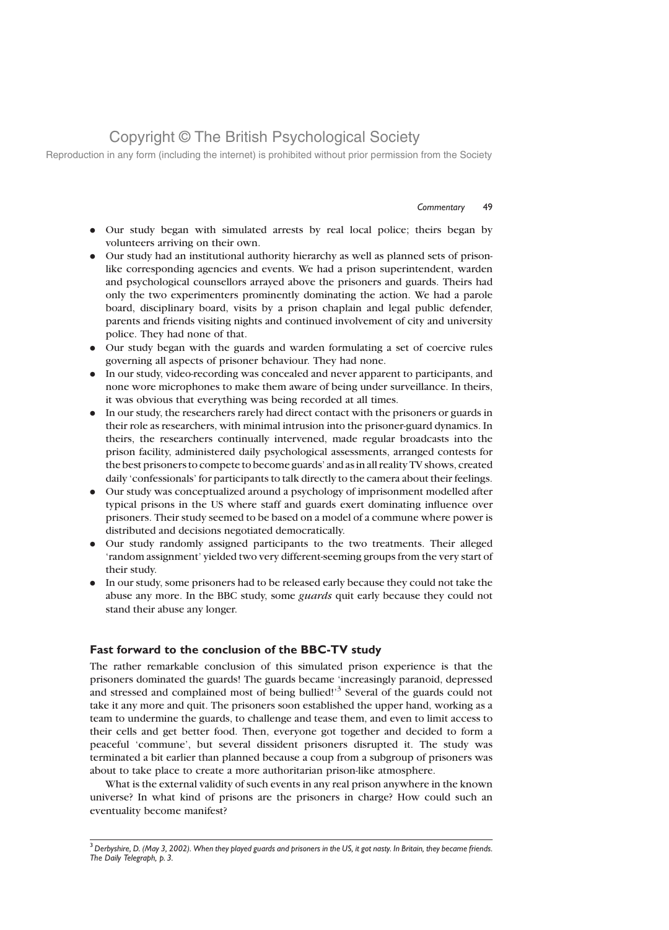Reproduction in any form (including the internet) is prohibited without prior permission from the Society

#### Commentary 49

- . Our study began with simulated arrests by real local police; theirs began by volunteers arriving on their own.
- . Our study had an institutional authority hierarchy as well as planned sets of prisonlike corresponding agencies and events. We had a prison superintendent, warden and psychological counsellors arrayed above the prisoners and guards. Theirs had only the two experimenters prominently dominating the action. We had a parole board, disciplinary board, visits by a prison chaplain and legal public defender, parents and friends visiting nights and continued involvement of city and university police. They had none of that.
- . Our study began with the guards and warden formulating a set of coercive rules governing all aspects of prisoner behaviour. They had none.
- . In our study, video-recording was concealed and never apparent to participants, and none wore microphones to make them aware of being under surveillance. In theirs, it was obvious that everything was being recorded at all times.
- . In our study, the researchers rarely had direct contact with the prisoners or guards in their role as researchers, with minimal intrusion into the prisoner-guard dynamics. In theirs, the researchers continually intervened, made regular broadcasts into the prison facility, administered daily psychological assessments, arranged contests for the best prisoners to compete to become guards' and as in all reality TV shows, created daily 'confessionals' for participants to talk directly to the camera about their feelings.
- . Our study was conceptualized around a psychology of imprisonment modelled after typical prisons in the US where staff and guards exert dominating influence over prisoners. Their study seemed to be based on a model of a commune where power is distributed and decisions negotiated democratically.
- . Our study randomly assigned participants to the two treatments. Their alleged 'random assignment' yielded two very different-seeming groups from the very start of their study.
- . In our study, some prisoners had to be released early because they could not take the abuse any more. In the BBC study, some *guards* quit early because they could not stand their abuse any longer.

#### Fast forward to the conclusion of the BBC-TV study

The rather remarkable conclusion of this simulated prison experience is that the prisoners dominated the guards! The guards became 'increasingly paranoid, depressed and stressed and complained most of being bullied!<sup>3</sup> Several of the guards could not take it any more and quit. The prisoners soon established the upper hand, working as a team to undermine the guards, to challenge and tease them, and even to limit access to their cells and get better food. Then, everyone got together and decided to form a peaceful 'commune', but several dissident prisoners disrupted it. The study was terminated a bit earlier than planned because a coup from a subgroup of prisoners was about to take place to create a more authoritarian prison-like atmosphere.

What is the external validity of such events in any real prison anywhere in the known universe? In what kind of prisons are the prisoners in charge? How could such an eventuality become manifest?

<sup>&</sup>lt;sup>3</sup> Derbyshire, D. (May 3, 2002). When they played guards and prisoners in the US, it got nasty. In Britain, they became friends. The Daily Telegraph, p. 3.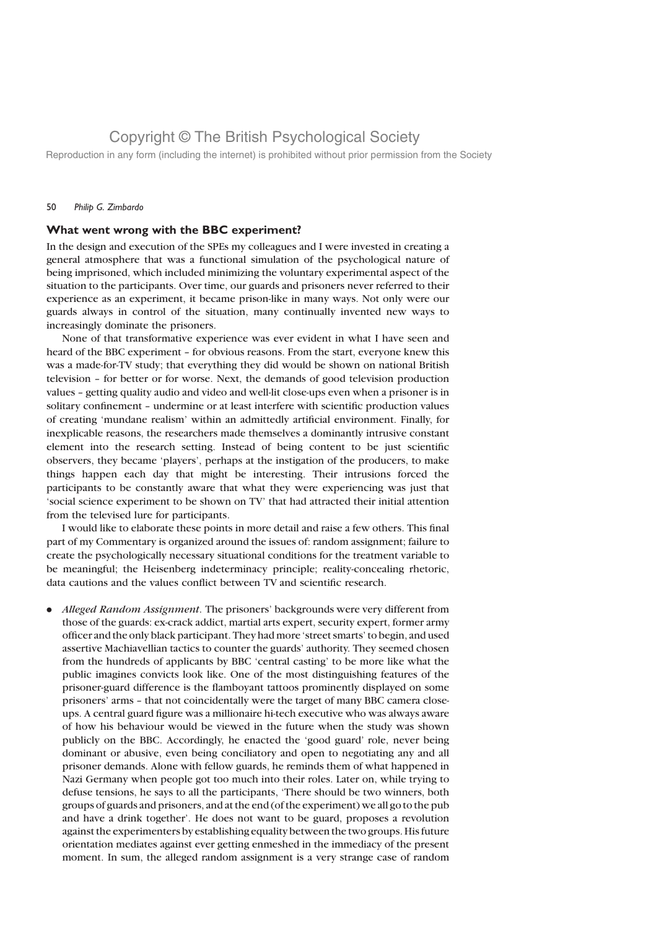Reproduction in any form (including the internet) is prohibited without prior permission from the Society

#### 50 Philip G. Zimbardo

### What went wrong with the BBC experiment?

In the design and execution of the SPEs my colleagues and I were invested in creating a general atmosphere that was a functional simulation of the psychological nature of being imprisoned, which included minimizing the voluntary experimental aspect of the situation to the participants. Over time, our guards and prisoners never referred to their experience as an experiment, it became prison-like in many ways. Not only were our guards always in control of the situation, many continually invented new ways to increasingly dominate the prisoners.

None of that transformative experience was ever evident in what I have seen and heard of the BBC experiment – for obvious reasons. From the start, everyone knew this was a made-for-TV study; that everything they did would be shown on national British television – for better or for worse. Next, the demands of good television production values – getting quality audio and video and well-lit close-ups even when a prisoner is in solitary confinement – undermine or at least interfere with scientific production values of creating 'mundane realism' within an admittedly artificial environment. Finally, for inexplicable reasons, the researchers made themselves a dominantly intrusive constant element into the research setting. Instead of being content to be just scientific observers, they became 'players', perhaps at the instigation of the producers, to make things happen each day that might be interesting. Their intrusions forced the participants to be constantly aware that what they were experiencing was just that 'social science experiment to be shown on TV' that had attracted their initial attention from the televised lure for participants.

I would like to elaborate these points in more detail and raise a few others. This final part of my Commentary is organized around the issues of: random assignment; failure to create the psychologically necessary situational conditions for the treatment variable to be meaningful; the Heisenberg indeterminacy principle; reality-concealing rhetoric, data cautions and the values conflict between TV and scientific research.

. Alleged Random Assignment. The prisoners' backgrounds were very different from those of the guards: ex-crack addict, martial arts expert, security expert, former army officer and the only black participant. They had more 'street smarts' to begin, and used assertive Machiavellian tactics to counter the guards' authority. They seemed chosen from the hundreds of applicants by BBC 'central casting' to be more like what the public imagines convicts look like. One of the most distinguishing features of the prisoner-guard difference is the flamboyant tattoos prominently displayed on some prisoners' arms – that not coincidentally were the target of many BBC camera closeups. A central guard figure was a millionaire hi-tech executive who was always aware of how his behaviour would be viewed in the future when the study was shown publicly on the BBC. Accordingly, he enacted the 'good guard' role, never being dominant or abusive, even being conciliatory and open to negotiating any and all prisoner demands. Alone with fellow guards, he reminds them of what happened in Nazi Germany when people got too much into their roles. Later on, while trying to defuse tensions, he says to all the participants, 'There should be two winners, both groups of guards and prisoners, and at the end (of the experiment) we all go to the pub and have a drink together'. He does not want to be guard, proposes a revolution against the experimenters by establishing equality between the two groups. His future orientation mediates against ever getting enmeshed in the immediacy of the present moment. In sum, the alleged random assignment is a very strange case of random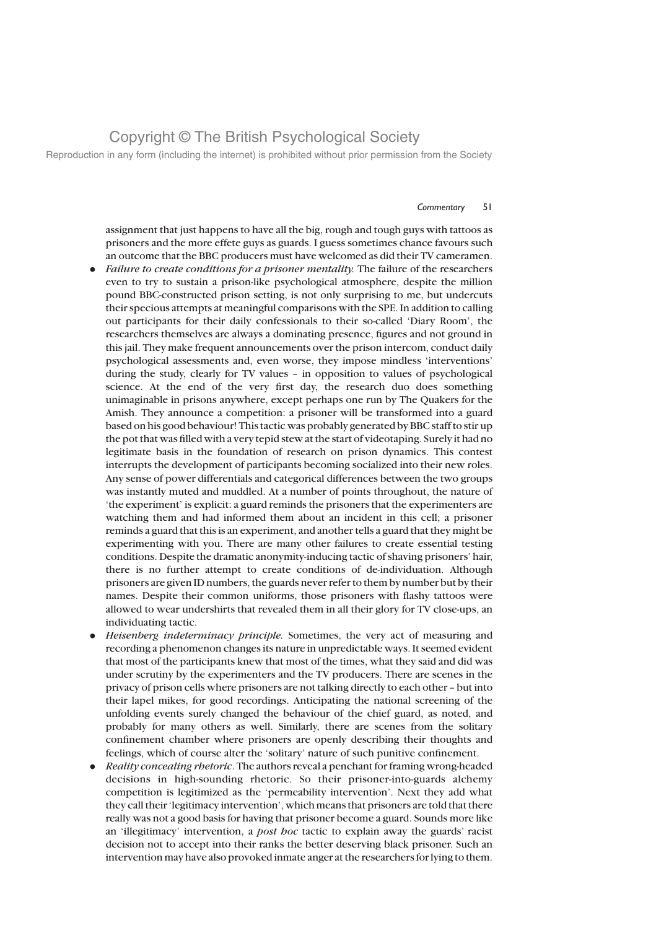Reproduction in any form (including the internet) is prohibited without prior permission from the Society

#### Commentary 51

assignment that just happens to have all the big, rough and tough guys with tattoos as prisoners and the more effete guys as guards. I guess sometimes chance favours such an outcome that the BBC producers must have welcomed as did their TV cameramen.

- . Failure to create conditions for a prisoner mentality. The failure of the researchers even to try to sustain a prison-like psychological atmosphere, despite the million pound BBC-constructed prison setting, is not only surprising to me, but undercuts their specious attempts at meaningful comparisons with the SPE. In addition to calling out participants for their daily confessionals to their so-called 'Diary Room', the researchers themselves are always a dominating presence, figures and not ground in this jail. They make frequent announcements over the prison intercom, conduct daily psychological assessments and, even worse, they impose mindless 'interventions' during the study, clearly for TV values – in opposition to values of psychological science. At the end of the very first day, the research duo does something unimaginable in prisons anywhere, except perhaps one run by The Quakers for the Amish. They announce a competition: a prisoner will be transformed into a guard based on his good behaviour! This tactic was probably generated by BBC staff to stir up the pot that was filled with a very tepid stew at the start of videotaping. Surely it had no legitimate basis in the foundation of research on prison dynamics. This contest interrupts the development of participants becoming socialized into their new roles. Any sense of power differentials and categorical differences between the two groups was instantly muted and muddled. At a number of points throughout, the nature of 'the experiment' is explicit: a guard reminds the prisoners that the experimenters are watching them and had informed them about an incident in this cell; a prisoner reminds a guard that this is an experiment, and another tells a guard that they might be experimenting with you. There are many other failures to create essential testing conditions. Despite the dramatic anonymity-inducing tactic of shaving prisoners' hair, there is no further attempt to create conditions of de-individuation. Although prisoners are given ID numbers, the guards never refer to them by number but by their names. Despite their common uniforms, those prisoners with flashy tattoos were allowed to wear undershirts that revealed them in all their glory for TV close-ups, an individuating tactic.
- . Heisenberg indeterminacy principle. Sometimes, the very act of measuring and recording a phenomenon changes its nature in unpredictable ways. It seemed evident that most of the participants knew that most of the times, what they said and did was under scrutiny by the experimenters and the TV producers. There are scenes in the privacy of prison cells where prisoners are not talking directly to each other – but into their lapel mikes, for good recordings. Anticipating the national screening of the unfolding events surely changed the behaviour of the chief guard, as noted, and probably for many others as well. Similarly, there are scenes from the solitary confinement chamber where prisoners are openly describing their thoughts and feelings, which of course alter the 'solitary' nature of such punitive confinement.
- . Reality concealing rhetoric. The authors reveal a penchant for framing wrong-headed decisions in high-sounding rhetoric. So their prisoner-into-guards alchemy competition is legitimized as the 'permeability intervention'. Next they add what they call their 'legitimacy intervention', which means that prisoners are told that there really was not a good basis for having that prisoner become a guard. Sounds more like an 'illegitimacy' intervention, a post hoc tactic to explain away the guards' racist decision not to accept into their ranks the better deserving black prisoner. Such an intervention may have also provoked inmate anger at the researchers for lying to them.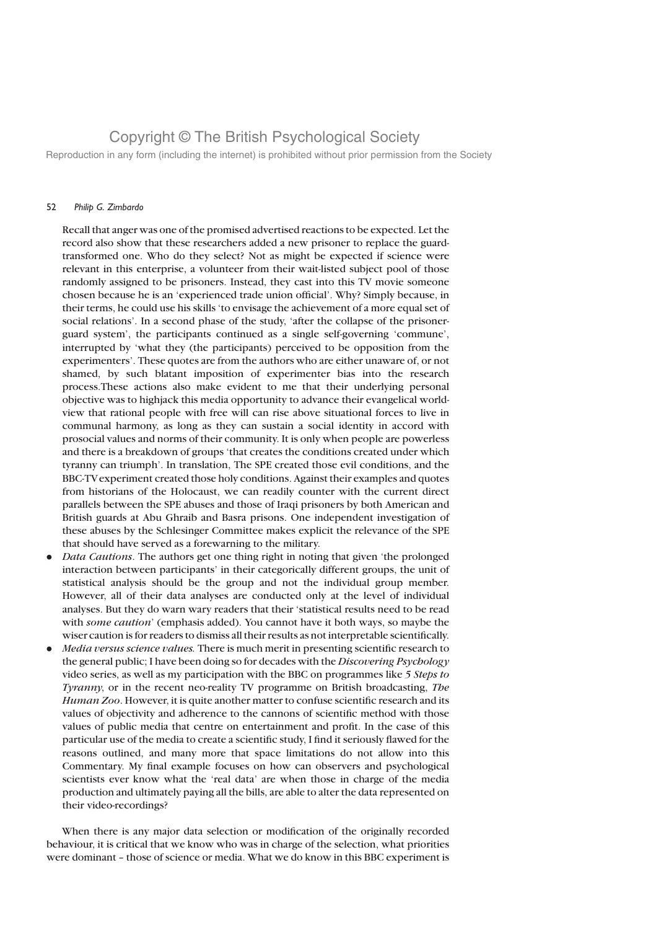Reproduction in any form (including the internet) is prohibited without prior permission from the Society

#### 52 Philip G. Zimbardo

Recall that anger was one of the promised advertised reactions to be expected. Let the record also show that these researchers added a new prisoner to replace the guardtransformed one. Who do they select? Not as might be expected if science were relevant in this enterprise, a volunteer from their wait-listed subject pool of those randomly assigned to be prisoners. Instead, they cast into this TV movie someone chosen because he is an 'experienced trade union official'. Why? Simply because, in their terms, he could use his skills 'to envisage the achievement of a more equal set of social relations'. In a second phase of the study, 'after the collapse of the prisonerguard system', the participants continued as a single self-governing 'commune', interrupted by 'what they (the participants) perceived to be opposition from the experimenters'. These quotes are from the authors who are either unaware of, or not shamed, by such blatant imposition of experimenter bias into the research process.These actions also make evident to me that their underlying personal objective was to highjack this media opportunity to advance their evangelical worldview that rational people with free will can rise above situational forces to live in communal harmony, as long as they can sustain a social identity in accord with prosocial values and norms of their community. It is only when people are powerless and there is a breakdown of groups 'that creates the conditions created under which tyranny can triumph'. In translation, The SPE created those evil conditions, and the BBC-TVexperiment created those holy conditions. Against their examples and quotes from historians of the Holocaust, we can readily counter with the current direct parallels between the SPE abuses and those of Iraqi prisoners by both American and British guards at Abu Ghraib and Basra prisons. One independent investigation of these abuses by the Schlesinger Committee makes explicit the relevance of the SPE that should have served as a forewarning to the military.

- . Data Cautions. The authors get one thing right in noting that given 'the prolonged interaction between participants' in their categorically different groups, the unit of statistical analysis should be the group and not the individual group member. However, all of their data analyses are conducted only at the level of individual analyses. But they do warn wary readers that their 'statistical results need to be read with *some caution*' (emphasis added). You cannot have it both ways, so maybe the wiser caution is for readers to dismiss all their results as not interpretable scientifically.
- Media versus science values. There is much merit in presenting scientific research to the general public; I have been doing so for decades with the Discovering Psychology video series, as well as my participation with the BBC on programmes like 5 Steps to Tyranny, or in the recent neo-reality TV programme on British broadcasting, The Human Zoo. However, it is quite another matter to confuse scientific research and its values of objectivity and adherence to the cannons of scientific method with those values of public media that centre on entertainment and profit. In the case of this particular use of the media to create a scientific study, I find it seriously flawed for the reasons outlined, and many more that space limitations do not allow into this Commentary. My final example focuses on how can observers and psychological scientists ever know what the 'real data' are when those in charge of the media production and ultimately paying all the bills, are able to alter the data represented on their video-recordings?

When there is any major data selection or modification of the originally recorded behaviour, it is critical that we know who was in charge of the selection, what priorities were dominant – those of science or media. What we do know in this BBC experiment is